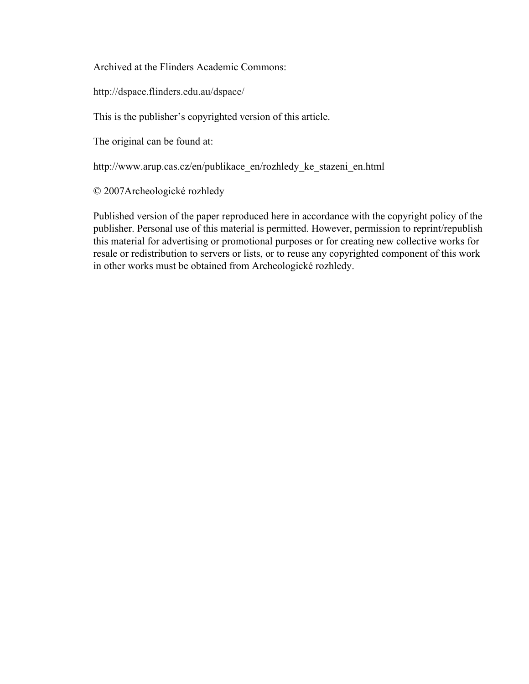Archived at the Flinders Academic Commons:

http://dspace.flinders.edu.au/dspace/

This is the publisher's copyrighted version of this article.

The original can be found at:

http://www.arup.cas.cz/en/publikace\_en/rozhledy\_ke\_stazeni\_en.html

© 2007Archeologické rozhledy

Published version of the paper reproduced here in accordance with the copyright policy of the publisher. Personal use of this material is permitted. However, permission to reprint/republish this material for advertising or promotional purposes or for creating new collective works for resale or redistribution to servers or lists, or to reuse any copyrighted component of this work in other works must be obtained from Archeologické rozhledy.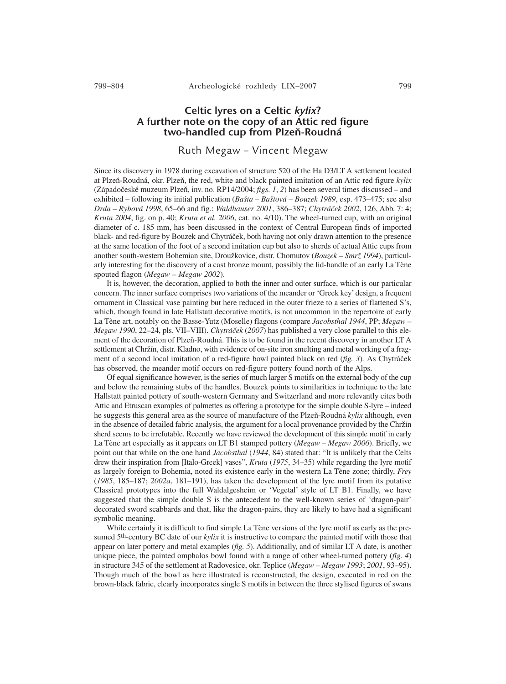## Celtic lyres on a Celtic kylix? A further note on the copy of an Attic red figure two-handled cup from Plzeň-Roudná

## Ruth Megaw – Vincent Megaw

Since its discovery in 1978 during excavation of structure 520 of the Ha D3/LT A settlement located at Plzeň-Roudná, okr. Plzeň, the red, white and black painted imitation of an Attic red figure *kylix* (Západočeské muzeum Plzeň, inv. no. RP14/2004; *figs. 1*, *2*) has been several times discussed – and exhibited – following its initial publication (*Bašta – Baštová – Bouzek 1989*, esp. 473–475; see also *Drda – Rybová 1998*, 65–66 and fig.; *Waldhauser 2001*, 386–387; *Chytráček 2002*, 126, Abb. 7: 4; *Kruta 2004*, fig. on p. 40; *Kruta et al. 2006*, cat. no. 4/10). The wheel-turned cup, with an original diameter of c. 185 mm, has been discussed in the context of Central European finds of imported black- and red-figure by Bouzek and Chytráček, both having not only drawn attention to the presence at the same location of the foot of a second imitation cup but also to sherds of actual Attic cups from another south-western Bohemian site, Droužkovice, distr. Chomutov (*Bouzek – Smrž 1994*), particularly interesting for the discovery of a cast bronze mount, possibly the lid-handle of an early La Tène spouted flagon (*Megaw – Megaw 2002*).

It is, however, the decoration, applied to both the inner and outer surface, which is our particular concern. The inner surface comprises two variations of the meander or 'Greek key' design, a frequent ornament in Classical vase painting but here reduced in the outer frieze to a series of flattened S's, which, though found in late Hallstatt decorative motifs, is not uncommon in the repertoire of early La Tène art, notably on the Basse-Yutz (Moselle) flagons (compare *Jacobsthal 1944*, PP; *Megaw – Megaw 1990*, 22–24, pls. VII–VIII). *Chytráček* (*2007*) has published a very close parallel to this element of the decoration of Plzeň-Roudná. This is to be found in the recent discovery in another LT A settlement at Chržín, distr. Kladno, with evidence of on-site iron smelting and metal working of a fragment of a second local imitation of a red-figure bowl painted black on red (*fig. 3*)*.* As Chytráček has observed, the meander motif occurs on red-figure pottery found north of the Alps.

Of equal significance however, is the series of much larger S motifs on the external body of the cup and below the remaining stubs of the handles. Bouzek points to similarities in technique to the late Hallstatt painted pottery of south-western Germany and Switzerland and more relevantly cites both Attic and Etruscan examples of palmettes as offering a prototype for the simple double S-lyre – indeed he suggests this general area as the source of manufacture of the Plzeň-Roudná *kylix* although, even in the absence of detailed fabric analysis, the argument for a local provenance provided by the Chržín sherd seems to be irrefutable. Recently we have reviewed the development of this simple motif in early La Tène art especially as it appears on LT B1 stamped pottery (*Megaw – Megaw 2006*). Briefly, we point out that while on the one hand *Jacobsthal* (*1944*, 84) stated that: "It is unlikely that the Celts drew their inspiration from [Italo-Greek] vases", *Kruta* (*1975*, 34–35) while regarding the lyre motif as largely foreign to Bohemia, noted its existence early in the western La Tène zone; thirdly, *Frey* (*1985*, 185–187; *2002a*, 181–191), has taken the development of the lyre motif from its putative Classical prototypes into the full Waldalgesheim or 'Vegetal' style of LT B1. Finally, we have suggested that the simple double S is the antecedent to the well-known series of 'dragon-pair' decorated sword scabbards and that, like the dragon-pairs, they are likely to have had a significant symbolic meaning.

While certainly it is difficult to find simple La Tène versions of the lyre motif as early as the presumed 5th-century BC date of our *kylix* it is instructive to compare the painted motif with those that appear on later pottery and metal examples (*fig. 5*). Additionally, and of similar LT A date, is another unique piece, the painted omphalos bowl found with a range of other wheel-turned pottery (*fig. 4*) in structure 345 of the settlement at Radovesice, okr. Teplice (*Megaw – Megaw 1993*; *2001*, 93–95). Though much of the bowl as here illustrated is reconstructed, the design, executed in red on the brown-black fabric, clearly incorporates single S motifs in between the three stylised figures of swans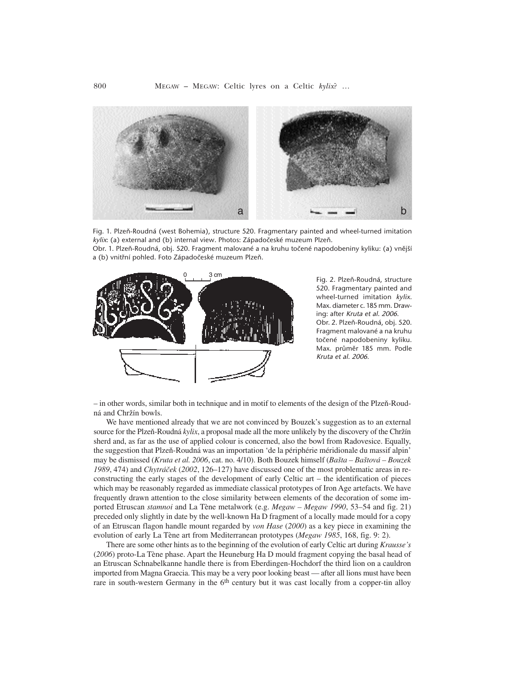

Fig. 1. Plzeň-Roudná (west Bohemia), structure 520. Fragmentary painted and wheel-turned imitation kylix: (a) external and (b) internal view. Photos: Západočeské muzeum Plzeň. Obr. 1. Plzeň-Roudná, obj. 520. Fragment malované a na kruhu točené napodobeniny kyliku: (a) vnější

a (b) vnitřní pohled. Foto Západočeské muzeum Plzeň.



Fig. 2. Plzeň-Roudná, structure 520. Fragmentary painted and wheel-turned imitation kylix. Max. diameter c. 185 mm. Drawing: after Kruta et al. 2006. Obr. 2. Plzeň-Roudná, obj. 520. Fragment malované a na kruhu točené napodobeniny kyliku. Max. průměr 185 mm. Podle Kruta et al. 2006.

– in other words, similar both in technique and in motif to elements of the design of the Plzeň-Roudná and Chržín bowls.

We have mentioned already that we are not convinced by Bouzek's suggestion as to an external source for the Plzeň-Roudná *kylix*, a proposal made all the more unlikely by the discovery of the Chržín sherd and, as far as the use of applied colour is concerned, also the bowl from Radovesice. Equally, the suggestion that Plzeň-Roudná was an importation 'de la périphérie méridionale du massif alpin' may be dismissed (*Kruta et al. 2006*, cat. no. 4/10). Both Bouzek himself (*Bašta – Baštová – Bouzek 1989*, 474) and *Chytráček* (*2002*, 126–127) have discussed one of the most problematic areas in reconstructing the early stages of the development of early Celtic art – the identification of pieces which may be reasonably regarded as immediate classical prototypes of Iron Age artefacts. We have frequently drawn attention to the close similarity between elements of the decoration of some imported Etruscan *stamnoi* and La Tène metalwork (e.g. *Megaw – Megaw 1990*, 53–54 and fig. 21) preceded only slightly in date by the well-known Ha D fragment of a locally made mould for a copy of an Etruscan flagon handle mount regarded by *von Hase* (*2000*) as a key piece in examining the evolution of early La Tène art from Mediterranean prototypes (*Megaw 1985*, 168, fig. 9: 2).

There are some other hints as to the beginning of the evolution of early Celtic art during *Krausse's* (*2006*) proto-La Tène phase. Apart the Heuneburg Ha D mould fragment copying the basal head of an Etruscan Schnabelkanne handle there is from Eberdingen-Hochdorf the third lion on a cauldron imported from Magna Graecia. This may be a very poor looking beast — after all lions must have been rare in south-western Germany in the  $6<sup>th</sup>$  century but it was cast locally from a copper-tin alloy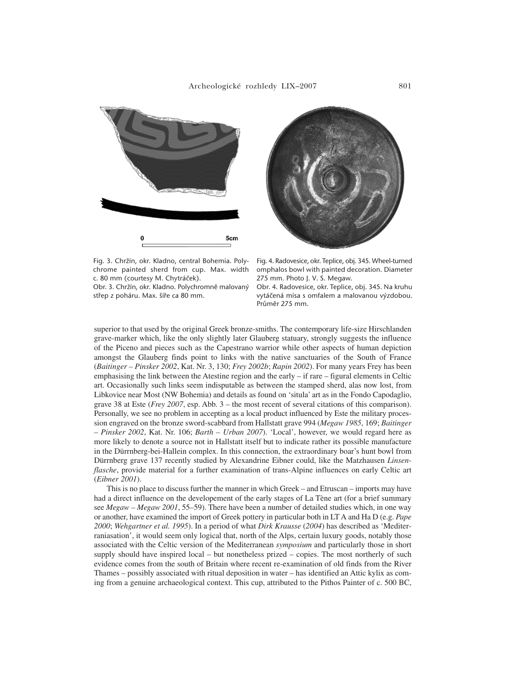

Fig. 3. Chržín, okr. Kladno, central Bohemia. Polychrome painted sherd from cup. Max. width c. 80 mm (courtesy M. Chytráček).

Obr. 3. Chržín, okr. Kladno. Polychromně malovaný střep z poháru. Max. šíře ca 80 mm.

Fig. 4. Radovesice, okr. Teplice, obj. 345. Wheel-turned omphalos bowl with painted decoration. Diameter 275 mm. Photo J. V. S. Megaw.

Obr. 4. Radovesice, okr. Teplice, obj. 345. Na kruhu vytáčená mísa s omfalem a malovanou výzdobou. Průměr 275 mm.

superior to that used by the original Greek bronze-smiths. The contemporary life-size Hirschlanden grave-marker which, like the only slightly later Glauberg statuary, strongly suggests the influence of the Piceno and pieces such as the Capestrano warrior while other aspects of human depiction amongst the Glauberg finds point to links with the native sanctuaries of the South of France (*Baitinger – Pinsker 2002*, Kat. Nr. 3, 130; *Frey 2002b*; *Rapin 2002*). For many years Frey has been emphasising the link between the Atestine region and the early – if rare – figural elements in Celtic art. Occasionally such links seem indisputable as between the stamped sherd, alas now lost, from Libkovice near Most (NW Bohemia) and details as found on 'situla' art as in the Fondo Capodaglio, grave 38 at Este (*Frey 2007*, esp. Abb. 3 – the most recent of several citations of this comparison). Personally, we see no problem in accepting as a local product influenced by Este the military procession engraved on the bronze sword-scabbard from Hallstatt grave 994 (*Megaw 1985*, 169; *Baitinger – Pinsker 2002*, Kat. Nr. 106; *Barth – Urban 2007*). 'Local', however, we would regard here as more likely to denote a source not in Hallstatt itself but to indicate rather its possible manufacture in the Dürrnberg-bei-Hallein complex. In this connection, the extraordinary boar's hunt bowl from Dürrnberg grave 137 recently studied by Alexandrine Eibner could, like the Matzhausen *Linsenflasche*, provide material for a further examination of trans-Alpine influences on early Celtic art (*Eibner 2001*).

This is no place to discuss further the manner in which Greek – and Etruscan – imports may have had a direct influence on the developement of the early stages of La Tène art (for a brief summary see *Megaw – Megaw 2001*, 55–59). There have been a number of detailed studies which, in one way or another, have examined the import of Greek pottery in particular both in LT A and Ha D (e.g. *Pape 2000*; *Wehgartner et al. 1995*). In a period of what *Dirk Krausse* (*2004*) has described as 'Mediterraniasation', it would seem only logical that, north of the Alps, certain luxury goods, notably those associated with the Celtic version of the Mediterranean *symposium* and particularly those in short supply should have inspired local – but nonetheless prized – copies. The most northerly of such evidence comes from the south of Britain where recent re-examination of old finds from the River Thames – possibly associated with ritual deposition in water – has identified an Attic kylix as coming from a genuine archaeological context. This cup, attributed to the Pithos Painter of c. 500 BC,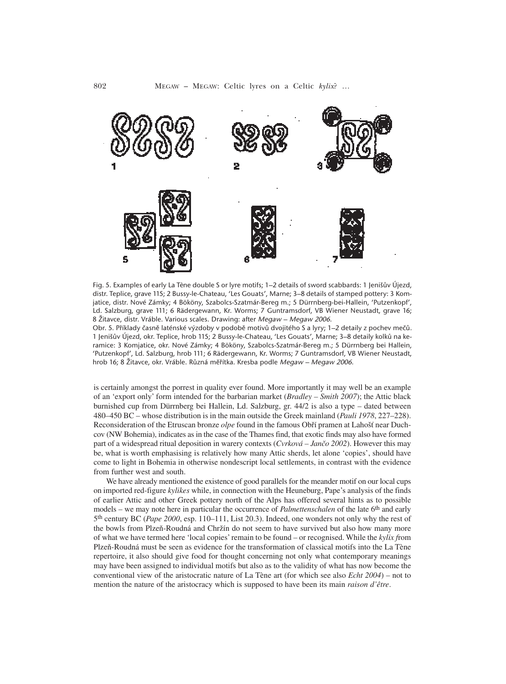

Fig. 5. Examples of early La Tène double S or lyre motifs; 1–2 details of sword scabbards: 1 Jenišův Újezd, distr. Teplice, grave 115; 2 Bussy-le-Chateau, 'Les Gouats', Marne; 3–8 details of stamped pottery: 3 Komjatice, distr. Nové Zámky; 4 Bököny, Szabolcs-Szatmár-Bereg m.; 5 Dürrnberg-bei-Hallein, 'Putzenkopf', Ld. Salzburg, grave 111; 6 Rädergewann, Kr. Worms; 7 Guntramsdorf, VB Wiener Neustadt, grave 16; 8 Žitavce, distr. Vráble. Various scales. Drawing: after Megaw – Megaw 2006.

Obr. 5. Příklady časně laténské výzdoby v podobě motivů dvojitého S a lyry; 1–2 detaily z pochev mečů. 1 Jenišův Újezd, okr. Teplice, hrob 115; 2 Bussy-le-Chateau, 'Les Gouats', Marne; 3–8 detaily kolků na keramice: 3 Komjatice, okr. Nové Zámky; 4 Bököny, Szabolcs-Szatmár-Bereg m.; 5 Dürrnberg bei Hallein, 'Putzenkopf', Ld. Salzburg, hrob 111; 6 Rädergewann, Kr. Worms; 7 Guntramsdorf, VB Wiener Neustadt, hrob 16; 8 Žitavce, okr. Vráble. Různá měřítka. Kresba podle Megaw – Megaw 2006.

is certainly amongst the porrest in quality ever found. More importantly it may well be an example of an 'export only' form intended for the barbarian market (*Bradley – Smith 2007*); the Attic black burnished cup from Dürrnberg bei Hallein, Ld. Salzburg, gr. 44/2 is also a type – dated between 480–450 BC – whose distribution is in the main outside the Greek mainland (*Pauli 1978*, 227–228). Reconsideration of the Etruscan bronze *olpe* found in the famous Obří pramen at Lahošť near Duchcov (NW Bohemia), indicates as in the case of the Thames find, that exotic finds may also have formed part of a widespread ritual deposition in warery contexts (*Cvrková – Jančo 2002*). However this may be, what is worth emphasising is relatively how many Attic sherds, let alone 'copies', should have come to light in Bohemia in otherwise nondescript local settlements, in contrast with the evidence from further west and south.

We have already mentioned the existence of good parallels for the meander motif on our local cups on imported red-figure *kylikes* while, in connection with the Heuneburg, Pape's analysis of the finds of earlier Attic and other Greek pottery north of the Alps has offered several hints as to possible models – we may note here in particular the occurrence of *Palmettenschalen* of the late 6th and early 5th century BC (*Pape 2000*, esp. 110–111, List 20.3). Indeed, one wonders not only why the rest of the bowls from Plzeň-Roudná and Chržín do not seem to have survived but also how many more of what we have termed here 'local copies' remain to be found – or recognised. While the *kylix f*rom Plzeň-Roudná must be seen as evidence for the transformation of classical motifs into the La Tène repertoire, it also should give food for thought concerning not only what contemporary meanings may have been assigned to individual motifs but also as to the validity of what has now become the conventional view of the aristocratic nature of La Tène art (for which see also *Echt 2004*) – not to mention the nature of the aristocracy which is supposed to have been its main *raison d'être*.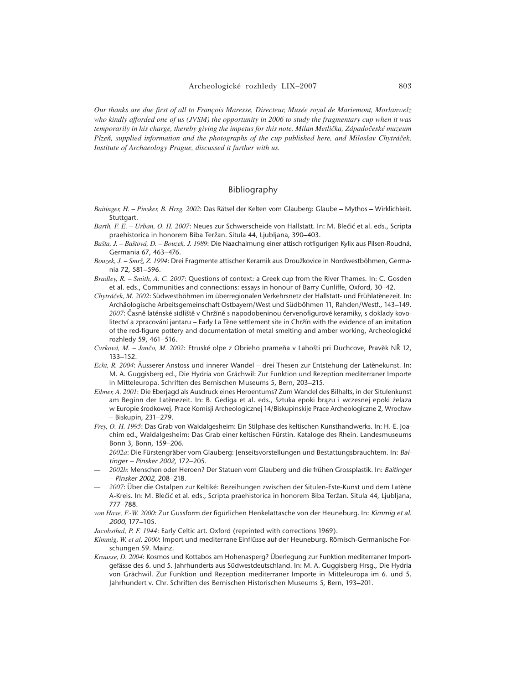*Our thanks are due first of all to François Maresse, Directeur, Musée royal de Mariemont, Morlanwelz who kindly afforded one of us (JVSM) the opportunity in 2006 to study the fragmentary cup when it was temporarily in his charge, thereby giving the impetus for this note. Milan Metlička, Západočeské muzeum Plzeň, supplied information and the photographs of the cup published here, and Miloslav Chytráček, Institute of Archaeology Prague, discussed it further with us.*

## Bibliography

- *Baitinger, H. Pinsker, B. Hrsg. 2002*: Das Rätsel der Kelten vom Glauberg: Glaube Mythos Wirklichkeit. Stuttgart.
- *Barth, F. E. Urban, O. H. 2007*: Neues zur Schwerscheide von Hallstatt. In: M. Blečić et al. eds., Scripta praehistorica in honorem Biba Teržan. Situla 44, Ljubljana, 390–403.
- *Bašta, J. Baštová, D. Bouzek, J. 1989*: Die Naachalmung einer attisch rotfigurigen Kylix aus Pilsen-Roudná, Germania 67, 463–476.
- *Bouzek, J. Smrž, Z. 1994*: Drei Fragmente attischer Keramik aus Droužkovice in Nordwestböhmen, Germania 72, 581–596.
- *Bradley, R. Smith, A. C. 2007*: Questions of context: a Greek cup from the River Thames. In: C. Gosden et al. eds., Communities and connections: essays in honour of Barry Cunliffe, Oxford, 30–42.
- Chytráček, M. 2002: Südwestböhmen im überregionalen Verkehrsnetz der Hallstatt- und Frühlatènezeit. In: Archäologische Arbeitsgemeinschaft Ostbayern/West und Südböhmen 11, Rahden/Westf., 143–149.
- *— 2007*: Časně laténské sídliště v Chržíně s napodobeninou červenofigurové keramiky, s doklady kovolitectví a zpracování jantaru - Early La Tène settlement site in Chržín with the evidence of an imitation of the red-figure pottery and documentation of metal smelting and amber working, Archeologické rozhledy 59, 461–516.
- *Cvrková, M. Jančo, M. 2002*: Etruské olpe z Obrieho prameňa v Lahošti pri Duchcove, Pravěk NŘ 12, 133–152.
- *Echt, R. 2004*: Äusserer Anstoss und innerer Wandel drei Thesen zur Entstehung der Latènekunst. In: M. A. Guggisberg ed., Die Hydria von Grächwil: Zur Funktion und Rezeption mediterraner Importe in Mitteleuropa. Schriften des Bernischen Museums 5, Bern, 203–215.
- *Eibner, A. 2001*: Die Eberjagd als Ausdruck eines Heroentums? Zum Wandel des Bilhalts, in der Situlenkunst am Beginn der Latènezeit. In: B. Gediga et al. eds., Sztuka epoki brązu i wczesnej epoki żelaza w Europie środkowej. Prace Komisji Archeologicznej 14/Biskupinskije Prace Archeologiczne 2, Wrocław – Biskupin, 231–279.
- *Frey, O.-H. 1995*: Das Grab von Waldalgesheim: Ein Stilphase des keltischen Kunsthandwerks. In: H.-E. Joachim ed., Waldalgesheim: Das Grab einer keltischen Fürstin. Kataloge des Rhein. Landesmuseums Bonn 3, Bonn, 159–206.
- *— 2002a*: Die Fürstengräber vom Glauberg: Jenseitsvorstellungen und Bestattungsbrauchtem. In: Baitinger – Pinsker 2002, 172–205.
- *— 2002b*: Menschen oder Heroen? Der Statuen vom Glauberg und die frühen Grossplastik. In: Baitinger – Pinsker 2002, 208–218.
- *— 2007*: Über die Ostalpen zur Keltiké: Bezeihungen zwischen der Situlen-Este-Kunst und dem Late`ne A-Kreis. In: M. Blečić et al. eds., Scripta praehistorica in honorem Biba Teržan. Situla 44, Ljubljana, 777–788.
- *von Hase, F.-W. 2000*: Zur Gussform der figürlichen Henkelattasche von der Heuneburg. In: Kimmig et al. <sup>2000</sup>, 177–105.
- *Jacobsthal, P. F. 1944*: Early Celtic art. Oxford (reprinted with corrections 1969).
- *Kimmig, W. et al. 2000*: Import und mediterrane Einflüsse auf der Heuneburg. Römisch-Germanische Forschungen 59. Mainz.
- *Krausse, D. 2004*: Kosmos und Kottabos am Hohenasperg? Überlegung zur Funktion mediterraner Importgefässe des 6. und 5. Jahrhunderts aus Südwestdeutschland. In: M. A. Guggisberg Hrsg., Die Hydria von Grächwil. Zur Funktion und Rezeption mediterraner Importe in Mitteleuropa im 6. und 5. Jahrhundert v. Chr. Schriften des Bernischen Historischen Museums 5, Bern, 193–201.